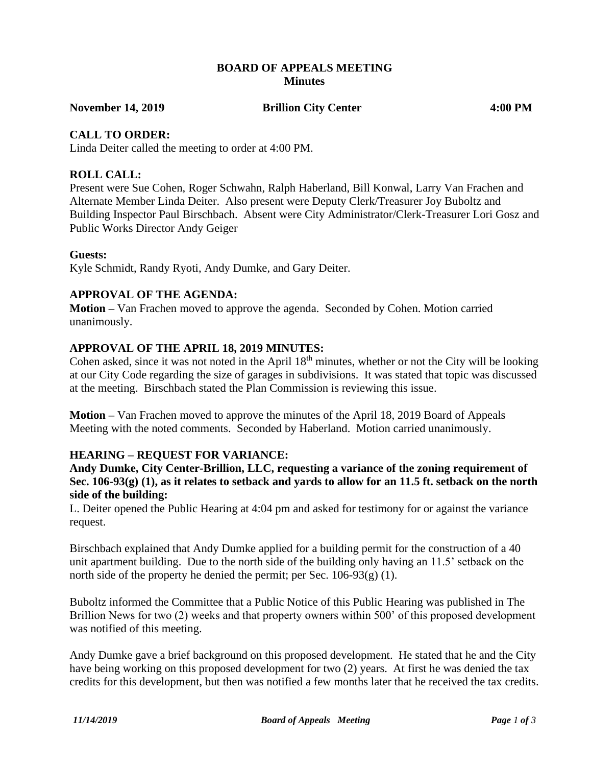#### **BOARD OF APPEALS MEETING Minutes**

**November 14, 2019 Brillion City Center 4:00 PM**

## **CALL TO ORDER:**

Linda Deiter called the meeting to order at 4:00 PM.

#### **ROLL CALL:**

Present were Sue Cohen, Roger Schwahn, Ralph Haberland, Bill Konwal, Larry Van Frachen and Alternate Member Linda Deiter. Also present were Deputy Clerk/Treasurer Joy Buboltz and Building Inspector Paul Birschbach. Absent were City Administrator/Clerk-Treasurer Lori Gosz and Public Works Director Andy Geiger

#### **Guests:**

Kyle Schmidt, Randy Ryoti, Andy Dumke, and Gary Deiter.

## **APPROVAL OF THE AGENDA:**

**Motion –** Van Frachen moved to approve the agenda. Seconded by Cohen. Motion carried unanimously.

## **APPROVAL OF THE APRIL 18, 2019 MINUTES:**

Cohen asked, since it was not noted in the April 18<sup>th</sup> minutes, whether or not the City will be looking at our City Code regarding the size of garages in subdivisions. It was stated that topic was discussed at the meeting. Birschbach stated the Plan Commission is reviewing this issue.

**Motion –** Van Frachen moved to approve the minutes of the April 18, 2019 Board of Appeals Meeting with the noted comments. Seconded by Haberland. Motion carried unanimously.

#### **HEARING – REQUEST FOR VARIANCE:**

**Andy Dumke, City Center-Brillion, LLC, requesting a variance of the zoning requirement of Sec. 106-93(g) (1), as it relates to setback and yards to allow for an 11.5 ft. setback on the north side of the building:**

L. Deiter opened the Public Hearing at 4:04 pm and asked for testimony for or against the variance request.

Birschbach explained that Andy Dumke applied for a building permit for the construction of a 40 unit apartment building. Due to the north side of the building only having an 11.5' setback on the north side of the property he denied the permit; per Sec. 106-93(g) (1).

Buboltz informed the Committee that a Public Notice of this Public Hearing was published in The Brillion News for two (2) weeks and that property owners within 500' of this proposed development was notified of this meeting.

Andy Dumke gave a brief background on this proposed development. He stated that he and the City have being working on this proposed development for two (2) years. At first he was denied the tax credits for this development, but then was notified a few months later that he received the tax credits.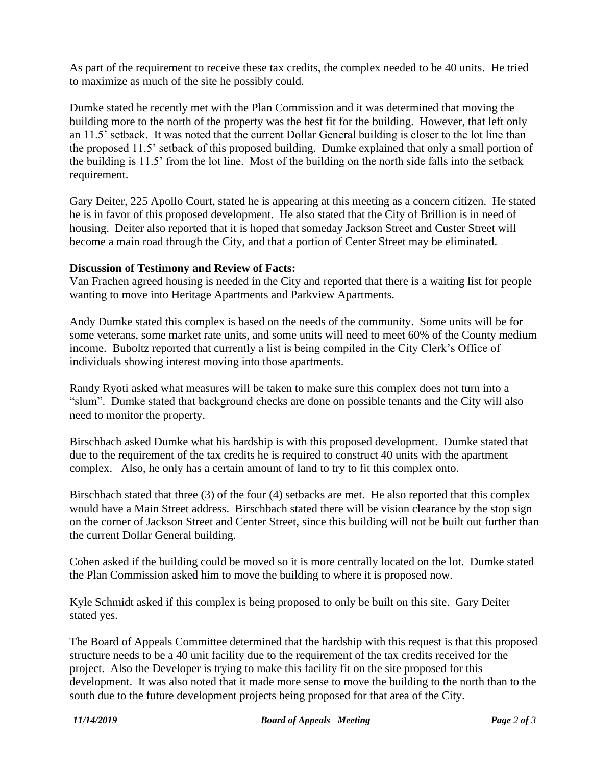As part of the requirement to receive these tax credits, the complex needed to be 40 units. He tried to maximize as much of the site he possibly could.

Dumke stated he recently met with the Plan Commission and it was determined that moving the building more to the north of the property was the best fit for the building. However, that left only an 11.5' setback. It was noted that the current Dollar General building is closer to the lot line than the proposed 11.5' setback of this proposed building. Dumke explained that only a small portion of the building is 11.5' from the lot line. Most of the building on the north side falls into the setback requirement.

Gary Deiter, 225 Apollo Court, stated he is appearing at this meeting as a concern citizen. He stated he is in favor of this proposed development. He also stated that the City of Brillion is in need of housing. Deiter also reported that it is hoped that someday Jackson Street and Custer Street will become a main road through the City, and that a portion of Center Street may be eliminated.

## **Discussion of Testimony and Review of Facts:**

Van Frachen agreed housing is needed in the City and reported that there is a waiting list for people wanting to move into Heritage Apartments and Parkview Apartments.

Andy Dumke stated this complex is based on the needs of the community. Some units will be for some veterans, some market rate units, and some units will need to meet 60% of the County medium income. Buboltz reported that currently a list is being compiled in the City Clerk's Office of individuals showing interest moving into those apartments.

Randy Ryoti asked what measures will be taken to make sure this complex does not turn into a "slum". Dumke stated that background checks are done on possible tenants and the City will also need to monitor the property.

Birschbach asked Dumke what his hardship is with this proposed development. Dumke stated that due to the requirement of the tax credits he is required to construct 40 units with the apartment complex. Also, he only has a certain amount of land to try to fit this complex onto.

Birschbach stated that three (3) of the four (4) setbacks are met. He also reported that this complex would have a Main Street address. Birschbach stated there will be vision clearance by the stop sign on the corner of Jackson Street and Center Street, since this building will not be built out further than the current Dollar General building.

Cohen asked if the building could be moved so it is more centrally located on the lot. Dumke stated the Plan Commission asked him to move the building to where it is proposed now.

Kyle Schmidt asked if this complex is being proposed to only be built on this site. Gary Deiter stated yes.

The Board of Appeals Committee determined that the hardship with this request is that this proposed structure needs to be a 40 unit facility due to the requirement of the tax credits received for the project. Also the Developer is trying to make this facility fit on the site proposed for this development. It was also noted that it made more sense to move the building to the north than to the south due to the future development projects being proposed for that area of the City.